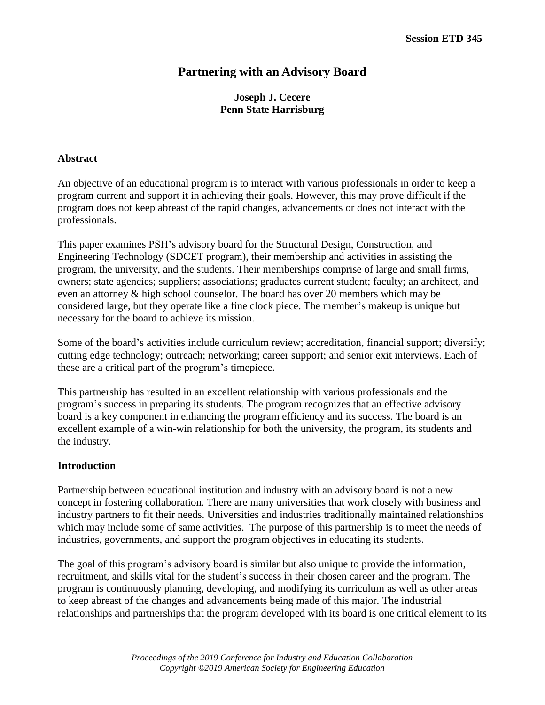# **Partnering with an Advisory Board**

# **Joseph J. Cecere Penn State Harrisburg**

#### **Abstract**

An objective of an educational program is to interact with various professionals in order to keep a program current and support it in achieving their goals. However, this may prove difficult if the program does not keep abreast of the rapid changes, advancements or does not interact with the professionals.

This paper examines PSH's advisory board for the Structural Design, Construction, and Engineering Technology (SDCET program), their membership and activities in assisting the program, the university, and the students. Their memberships comprise of large and small firms, owners; state agencies; suppliers; associations; graduates current student; faculty; an architect, and even an attorney & high school counselor. The board has over 20 members which may be considered large, but they operate like a fine clock piece. The member's makeup is unique but necessary for the board to achieve its mission.

Some of the board's activities include curriculum review; accreditation, financial support; diversify; cutting edge technology; outreach; networking; career support; and senior exit interviews. Each of these are a critical part of the program's timepiece.

This partnership has resulted in an excellent relationship with various professionals and the program's success in preparing its students. The program recognizes that an effective advisory board is a key component in enhancing the program efficiency and its success. The board is an excellent example of a win-win relationship for both the university, the program, its students and the industry.

### **Introduction**

Partnership between educational institution and industry with an advisory board is not a new concept in fostering collaboration. There are many universities that work closely with business and industry partners to fit their needs. Universities and industries traditionally maintained relationships which may include some of same activities. The purpose of this partnership is to meet the needs of industries, governments, and support the program objectives in educating its students.

The goal of this program's advisory board is similar but also unique to provide the information, recruitment, and skills vital for the student's success in their chosen career and the program. The program is continuously planning, developing, and modifying its curriculum as well as other areas to keep abreast of the changes and advancements being made of this major. The industrial relationships and partnerships that the program developed with its board is one critical element to its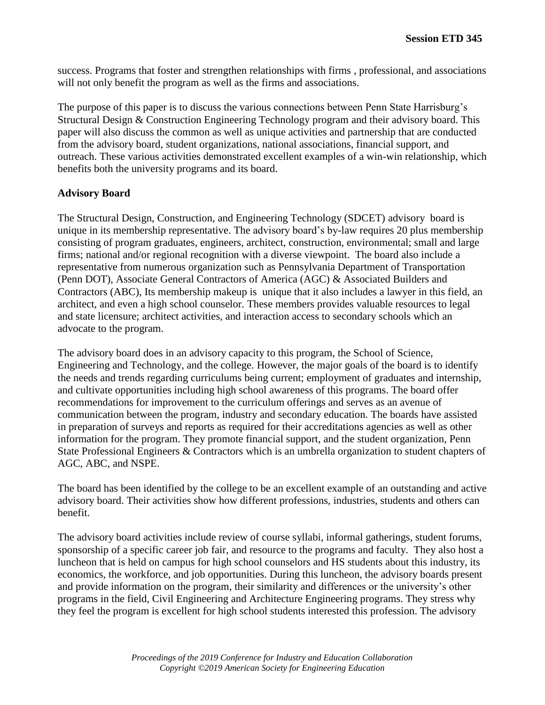success. Programs that foster and strengthen relationships with firms , professional, and associations will not only benefit the program as well as the firms and associations.

The purpose of this paper is to discuss the various connections between Penn State Harrisburg's Structural Design & Construction Engineering Technology program and their advisory board. This paper will also discuss the common as well as unique activities and partnership that are conducted from the advisory board, student organizations, national associations, financial support, and outreach. These various activities demonstrated excellent examples of a win-win relationship, which benefits both the university programs and its board.

# **Advisory Board**

The Structural Design, Construction, and Engineering Technology (SDCET) advisory board is unique in its membership representative. The advisory board's by-law requires 20 plus membership consisting of program graduates, engineers, architect, construction, environmental; small and large firms; national and/or regional recognition with a diverse viewpoint. The board also include a representative from numerous organization such as Pennsylvania Department of Transportation (Penn DOT), Associate General Contractors of America (AGC) & Associated Builders and Contractors (ABC), Its membership makeup is unique that it also includes a lawyer in this field, an architect, and even a high school counselor. These members provides valuable resources to legal and state licensure; architect activities, and interaction access to secondary schools which an advocate to the program.

The advisory board does in an advisory capacity to this program, the School of Science, Engineering and Technology, and the college. However, the major goals of the board is to identify the needs and trends regarding curriculums being current; employment of graduates and internship, and cultivate opportunities including high school awareness of this programs. The board offer recommendations for improvement to the curriculum offerings and serves as an avenue of communication between the program, industry and secondary education. The boards have assisted in preparation of surveys and reports as required for their accreditations agencies as well as other information for the program. They promote financial support, and the student organization, Penn State Professional Engineers & Contractors which is an umbrella organization to student chapters of AGC, ABC, and NSPE.

The board has been identified by the college to be an excellent example of an outstanding and active advisory board. Their activities show how different professions, industries, students and others can benefit.

The advisory board activities include review of course syllabi, informal gatherings, student forums, sponsorship of a specific career job fair, and resource to the programs and faculty. They also host a luncheon that is held on campus for high school counselors and HS students about this industry, its economics, the workforce, and job opportunities. During this luncheon, the advisory boards present and provide information on the program, their similarity and differences or the university's other programs in the field, Civil Engineering and Architecture Engineering programs. They stress why they feel the program is excellent for high school students interested this profession. The advisory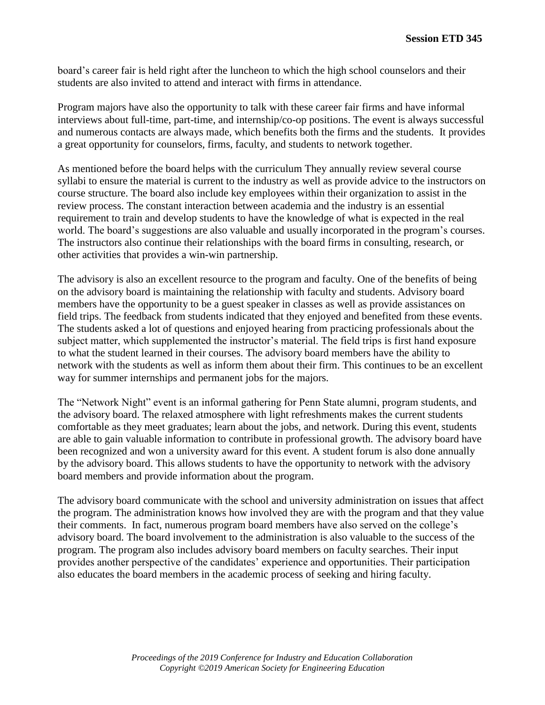board's career fair is held right after the luncheon to which the high school counselors and their students are also invited to attend and interact with firms in attendance.

Program majors have also the opportunity to talk with these career fair firms and have informal interviews about full-time, part-time, and internship/co-op positions. The event is always successful and numerous contacts are always made, which benefits both the firms and the students. It provides a great opportunity for counselors, firms, faculty, and students to network together.

As mentioned before the board helps with the curriculum They annually review several course syllabi to ensure the material is current to the industry as well as provide advice to the instructors on course structure. The board also include key employees within their organization to assist in the review process. The constant interaction between academia and the industry is an essential requirement to train and develop students to have the knowledge of what is expected in the real world. The board's suggestions are also valuable and usually incorporated in the program's courses. The instructors also continue their relationships with the board firms in consulting, research, or other activities that provides a win-win partnership.

The advisory is also an excellent resource to the program and faculty. One of the benefits of being on the advisory board is maintaining the relationship with faculty and students. Advisory board members have the opportunity to be a guest speaker in classes as well as provide assistances on field trips. The feedback from students indicated that they enjoyed and benefited from these events. The students asked a lot of questions and enjoyed hearing from practicing professionals about the subject matter, which supplemented the instructor's material. The field trips is first hand exposure to what the student learned in their courses. The advisory board members have the ability to network with the students as well as inform them about their firm. This continues to be an excellent way for summer internships and permanent jobs for the majors.

The "Network Night" event is an informal gathering for Penn State alumni, program students, and the advisory board. The relaxed atmosphere with light refreshments makes the current students comfortable as they meet graduates; learn about the jobs, and network. During this event, students are able to gain valuable information to contribute in professional growth. The advisory board have been recognized and won a university award for this event. A student forum is also done annually by the advisory board. This allows students to have the opportunity to network with the advisory board members and provide information about the program.

The advisory board communicate with the school and university administration on issues that affect the program. The administration knows how involved they are with the program and that they value their comments. In fact, numerous program board members have also served on the college's advisory board. The board involvement to the administration is also valuable to the success of the program. The program also includes advisory board members on faculty searches. Their input provides another perspective of the candidates' experience and opportunities. Their participation also educates the board members in the academic process of seeking and hiring faculty.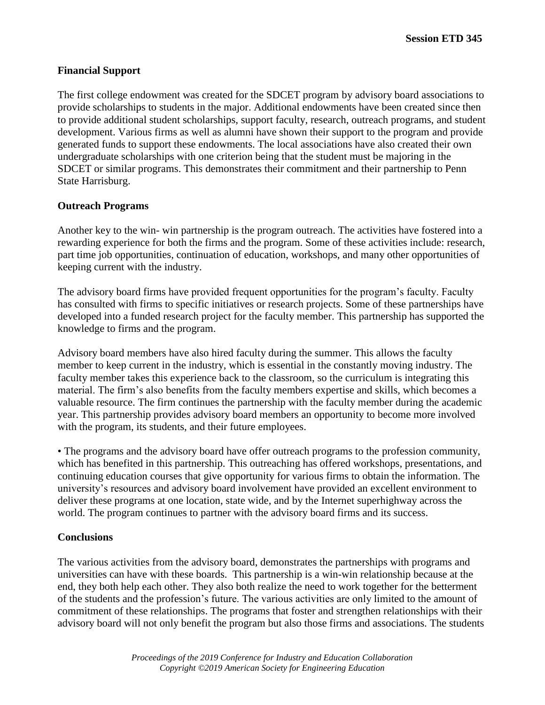## **Financial Support**

The first college endowment was created for the SDCET program by advisory board associations to provide scholarships to students in the major. Additional endowments have been created since then to provide additional student scholarships, support faculty, research, outreach programs, and student development. Various firms as well as alumni have shown their support to the program and provide generated funds to support these endowments. The local associations have also created their own undergraduate scholarships with one criterion being that the student must be majoring in the SDCET or similar programs. This demonstrates their commitment and their partnership to Penn State Harrisburg.

## **Outreach Programs**

Another key to the win- win partnership is the program outreach. The activities have fostered into a rewarding experience for both the firms and the program. Some of these activities include: research, part time job opportunities, continuation of education, workshops, and many other opportunities of keeping current with the industry.

The advisory board firms have provided frequent opportunities for the program's faculty. Faculty has consulted with firms to specific initiatives or research projects. Some of these partnerships have developed into a funded research project for the faculty member. This partnership has supported the knowledge to firms and the program.

Advisory board members have also hired faculty during the summer. This allows the faculty member to keep current in the industry, which is essential in the constantly moving industry. The faculty member takes this experience back to the classroom, so the curriculum is integrating this material. The firm's also benefits from the faculty members expertise and skills, which becomes a valuable resource. The firm continues the partnership with the faculty member during the academic year. This partnership provides advisory board members an opportunity to become more involved with the program, its students, and their future employees.

• The programs and the advisory board have offer outreach programs to the profession community, which has benefited in this partnership. This outreaching has offered workshops, presentations, and continuing education courses that give opportunity for various firms to obtain the information. The university's resources and advisory board involvement have provided an excellent environment to deliver these programs at one location, state wide, and by the Internet superhighway across the world. The program continues to partner with the advisory board firms and its success.

### **Conclusions**

The various activities from the advisory board, demonstrates the partnerships with programs and universities can have with these boards. This partnership is a win-win relationship because at the end, they both help each other. They also both realize the need to work together for the betterment of the students and the profession's future. The various activities are only limited to the amount of commitment of these relationships. The programs that foster and strengthen relationships with their advisory board will not only benefit the program but also those firms and associations. The students